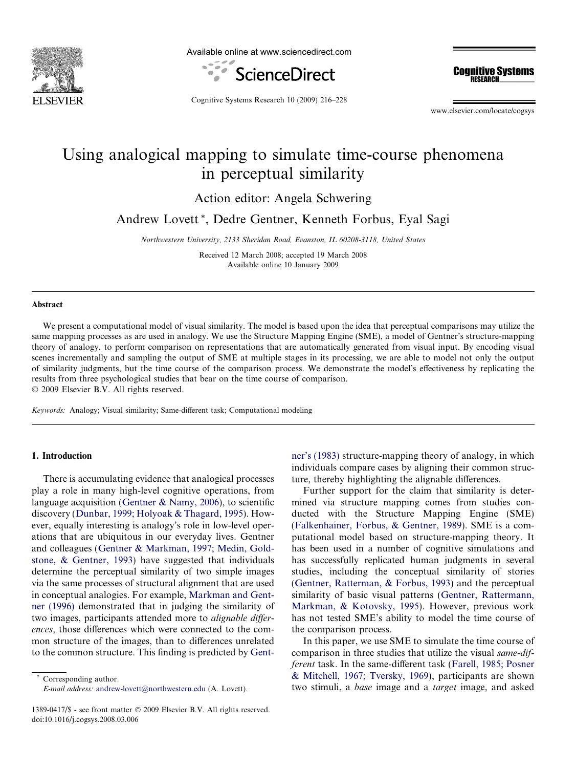

Available online at www.sciencedirect.com



**Cognitive Systems RESEARCH** 

Cognitive Systems Research 10 (2009) 216–228

www.elsevier.com/locate/cogsys

# Using analogical mapping to simulate time-course phenomena in perceptual similarity

Action editor: Angela Schwering

Andrew Lovett \*, Dedre Gentner, Kenneth Forbus, Eyal Sagi

Northwestern University, 2133 Sheridan Road, Evanston, IL 60208-3118, United States

Received 12 March 2008; accepted 19 March 2008 Available online 10 January 2009

## Abstract

We present a computational model of visual similarity. The model is based upon the idea that perceptual comparisons may utilize the same mapping processes as are used in analogy. We use the Structure Mapping Engine (SME), a model of Gentner's structure-mapping theory of analogy, to perform comparison on representations that are automatically generated from visual input. By encoding visual scenes incrementally and sampling the output of SME at multiple stages in its processing, we are able to model not only the output of similarity judgments, but the time course of the comparison process. We demonstrate the model's effectiveness by replicating the results from three psychological studies that bear on the time course of comparison. © 2009 Elsevier B.V. All rights reserved.

Keywords: Analogy; Visual similarity; Same-different task; Computational modeling

# 1. Introduction

There is accumulating evidence that analogical processes play a role in many high-level cognitive operations, from language acquisition [\(Gentner & Namy, 2006\)](#page-12-0), to scientific discovery [\(Dunbar, 1999; Holyoak & Thagard, 1995](#page-11-0)). However, equally interesting is analogy's role in low-level operations that are ubiquitous in our everyday lives. Gentner and colleagues [\(Gentner & Markman, 1997; Medin, Gold](#page-12-0)[stone, & Gentner, 1993](#page-12-0)) have suggested that individuals determine the perceptual similarity of two simple images via the same processes of structural alignment that are used in conceptual analogies. For example, [Markman and Gent](#page-12-0)[ner \(1996\)](#page-12-0) demonstrated that in judging the similarity of two images, participants attended more to alignable differences, those differences which were connected to the common structure of the images, than to differences unrelated to the common structure. This finding is predicted by [Gent-](#page-11-0)

Corresponding author. E-mail address: [andrew-lovett@northwestern.edu](mailto:andrew-lovett@northwestern.edu) (A. Lovett). [ner's \(1983\)](#page-11-0) structure-mapping theory of analogy, in which individuals compare cases by aligning their common structure, thereby highlighting the alignable differences.

Further support for the claim that similarity is determined via structure mapping comes from studies conducted with the Structure Mapping Engine (SME) [\(Falkenhainer, Forbus, & Gentner, 1989\)](#page-11-0). SME is a computational model based on structure-mapping theory. It has been used in a number of cognitive simulations and has successfully replicated human judgments in several studies, including the conceptual similarity of stories [\(Gentner, Ratterman, & Forbus, 1993](#page-12-0)) and the perceptual similarity of basic visual patterns [\(Gentner, Rattermann,](#page-12-0) [Markman, & Kotovsky, 1995](#page-12-0)). However, previous work has not tested SME's ability to model the time course of the comparison process.

In this paper, we use SME to simulate the time course of comparison in three studies that utilize the visual same-different task. In the same-different task [\(Farell, 1985; Posner](#page-11-0) [& Mitchell, 1967; Tversky, 1969](#page-11-0)), participants are shown two stimuli, a base image and a target image, and asked

<sup>1389-0417/\$ -</sup> see front matter © 2009 Elsevier B.V. All rights reserved. doi:10.1016/j.cogsys.2008.03.006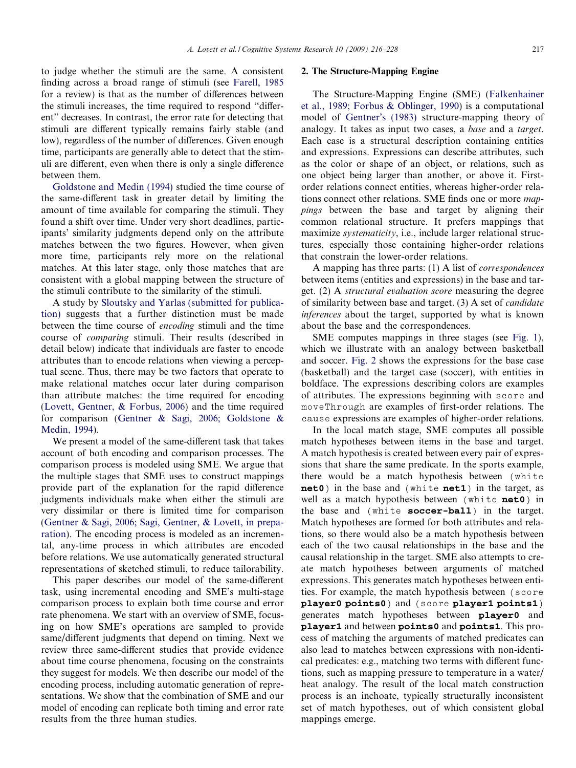to judge whether the stimuli are the same. A consistent finding across a broad range of stimuli (see [Farell, 1985](#page-11-0) for a review) is that as the number of differences between the stimuli increases, the time required to respond ''different" decreases. In contrast, the error rate for detecting that stimuli are different typically remains fairly stable (and low), regardless of the number of differences. Given enough time, participants are generally able to detect that the stimuli are different, even when there is only a single difference between them.

[Goldstone and Medin \(1994\)](#page-12-0) studied the time course of the same-different task in greater detail by limiting the amount of time available for comparing the stimuli. They found a shift over time. Under very short deadlines, participants' similarity judgments depend only on the attribute matches between the two figures. However, when given more time, participants rely more on the relational matches. At this later stage, only those matches that are consistent with a global mapping between the structure of the stimuli contribute to the similarity of the stimuli.

A study by [Sloutsky and Yarlas \(submitted for publica](#page-12-0)[tion\)](#page-12-0) suggests that a further distinction must be made between the time course of encoding stimuli and the time course of comparing stimuli. Their results (described in detail below) indicate that individuals are faster to encode attributes than to encode relations when viewing a perceptual scene. Thus, there may be two factors that operate to make relational matches occur later during comparison than attribute matches: the time required for encoding ([Lovett, Gentner, & Forbus, 2006](#page-12-0)) and the time required for comparison ([Gentner & Sagi, 2006; Goldstone &](#page-12-0) [Medin, 1994](#page-12-0)).

We present a model of the same-different task that takes account of both encoding and comparison processes. The comparison process is modeled using SME. We argue that the multiple stages that SME uses to construct mappings provide part of the explanation for the rapid difference judgments individuals make when either the stimuli are very dissimilar or there is limited time for comparison ([Gentner & Sagi, 2006; Sagi, Gentner, & Lovett, in prepa](#page-12-0)[ration](#page-12-0)). The encoding process is modeled as an incremental, any-time process in which attributes are encoded before relations. We use automatically generated structural representations of sketched stimuli, to reduce tailorability.

This paper describes our model of the same-different task, using incremental encoding and SME's multi-stage comparison process to explain both time course and error rate phenomena. We start with an overview of SME, focusing on how SME's operations are sampled to provide same/different judgments that depend on timing. Next we review three same-different studies that provide evidence about time course phenomena, focusing on the constraints they suggest for models. We then describe our model of the encoding process, including automatic generation of representations. We show that the combination of SME and our model of encoding can replicate both timing and error rate results from the three human studies.

# 2. The Structure-Mapping Engine

The Structure-Mapping Engine (SME) ([Falkenhainer](#page-11-0) [et al., 1989; Forbus & Oblinger, 1990\)](#page-11-0) is a computational model of [Gentner's \(1983\)](#page-11-0) structure-mapping theory of analogy. It takes as input two cases, a base and a target. Each case is a structural description containing entities and expressions. Expressions can describe attributes, such as the color or shape of an object, or relations, such as one object being larger than another, or above it. Firstorder relations connect entities, whereas higher-order relations connect other relations. SME finds one or more mappings between the base and target by aligning their common relational structure. It prefers mappings that maximize systematicity, i.e., include larger relational structures, especially those containing higher-order relations that constrain the lower-order relations.

A mapping has three parts: (1) A list of correspondences between items (entities and expressions) in the base and target. (2) A structural evaluation score measuring the degree of similarity between base and target. (3) A set of candidate inferences about the target, supported by what is known about the base and the correspondences.

SME computes mappings in three stages (see [Fig. 1\)](#page-2-0), which we illustrate with an analogy between basketball and soccer. [Fig. 2](#page-2-0) shows the expressions for the base case (basketball) and the target case (soccer), with entities in boldface. The expressions describing colors are examples of attributes. The expressions beginning with score and moveThrough are examples of first-order relations. The cause expressions are examples of higher-order relations.

In the local match stage, SME computes all possible match hypotheses between items in the base and target. A match hypothesis is created between every pair of expressions that share the same predicate. In the sports example, there would be a match hypothesis between (white net0) in the base and (white net1) in the target, as well as a match hypothesis between (white net0) in the base and (white soccer-ball) in the target. Match hypotheses are formed for both attributes and relations, so there would also be a match hypothesis between each of the two causal relationships in the base and the causal relationship in the target. SME also attempts to create match hypotheses between arguments of matched expressions. This generates match hypotheses between entities. For example, the match hypothesis between (score player0 points0) and (score player1 points1) generates match hypotheses between player0 and player1 and between points0 and points1. This process of matching the arguments of matched predicates can also lead to matches between expressions with non-identical predicates: e.g., matching two terms with different functions, such as mapping pressure to temperature in a water/ heat analogy. The result of the local match construction process is an inchoate, typically structurally inconsistent set of match hypotheses, out of which consistent global mappings emerge.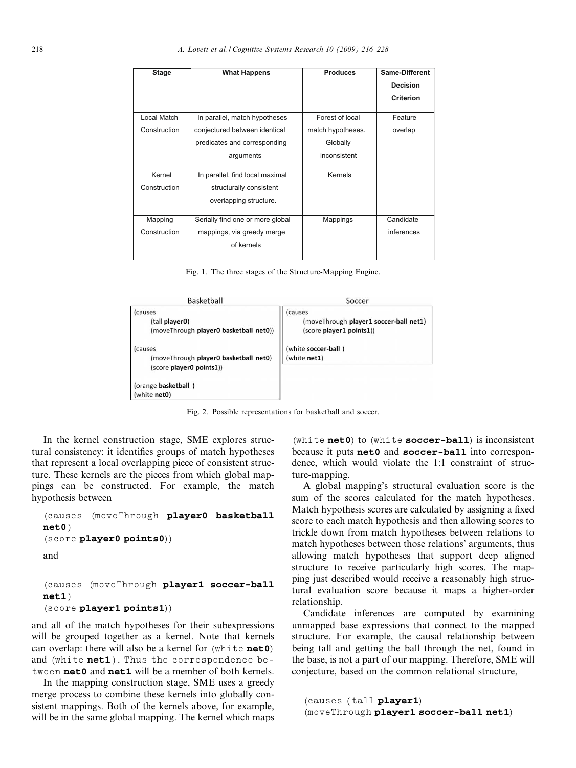<span id="page-2-0"></span>

| <b>Stage</b> | <b>What Happens</b>              | <b>Produces</b>   | Same-Different  |
|--------------|----------------------------------|-------------------|-----------------|
|              |                                  |                   | <b>Decision</b> |
|              |                                  |                   | Criterion       |
|              |                                  |                   |                 |
| Local Match  | In parallel, match hypotheses    | Forest of local   | Feature         |
| Construction | conjectured between identical    | match hypotheses. | overlap         |
|              | predicates and corresponding     | Globally          |                 |
|              | arguments                        | inconsistent      |                 |
|              |                                  |                   |                 |
| Kernel       | In parallel, find local maximal  | Kernels           |                 |
| Construction | structurally consistent          |                   |                 |
|              | overlapping structure.           |                   |                 |
|              |                                  |                   |                 |
| Mapping      | Serially find one or more global | <b>Mappings</b>   | Candidate       |
| Construction | mappings, via greedy merge       |                   | inferences      |
|              | of kernels                       |                   |                 |
|              |                                  |                   |                 |

Fig. 1. The three stages of the Structure-Mapping Engine.



Fig. 2. Possible representations for basketball and soccer.

In the kernel construction stage, SME explores structural consistency: it identifies groups of match hypotheses that represent a local overlapping piece of consistent structure. These kernels are the pieces from which global mappings can be constructed. For example, the match hypothesis between

```
(causes (moveThrough player0 basketball
net0)
(score player0 points0))
and
```
(causes (moveThrough player1 soccer-ball net1) (score player1 points1))

and all of the match hypotheses for their subexpressions will be grouped together as a kernel. Note that kernels can overlap: there will also be a kernel for (white net0) and (white net1). Thus the correspondence between net0 and net1 will be a member of both kernels.

In the mapping construction stage, SME uses a greedy merge process to combine these kernels into globally consistent mappings. Both of the kernels above, for example, will be in the same global mapping. The kernel which maps

(white  $net0$ ) to (white  $soccer-ba11$ ) is inconsistent because it puts net0 and soccer-ball into correspondence, which would violate the 1:1 constraint of structure-mapping.

A global mapping's structural evaluation score is the sum of the scores calculated for the match hypotheses. Match hypothesis scores are calculated by assigning a fixed score to each match hypothesis and then allowing scores to trickle down from match hypotheses between relations to match hypotheses between those relations' arguments, thus allowing match hypotheses that support deep aligned structure to receive particularly high scores. The mapping just described would receive a reasonably high structural evaluation score because it maps a higher-order relationship.

Candidate inferences are computed by examining unmapped base expressions that connect to the mapped structure. For example, the causal relationship between being tall and getting the ball through the net, found in the base, is not a part of our mapping. Therefore, SME will conjecture, based on the common relational structure,

(causes (tall player1) (moveThrough player1 soccer-ball net1)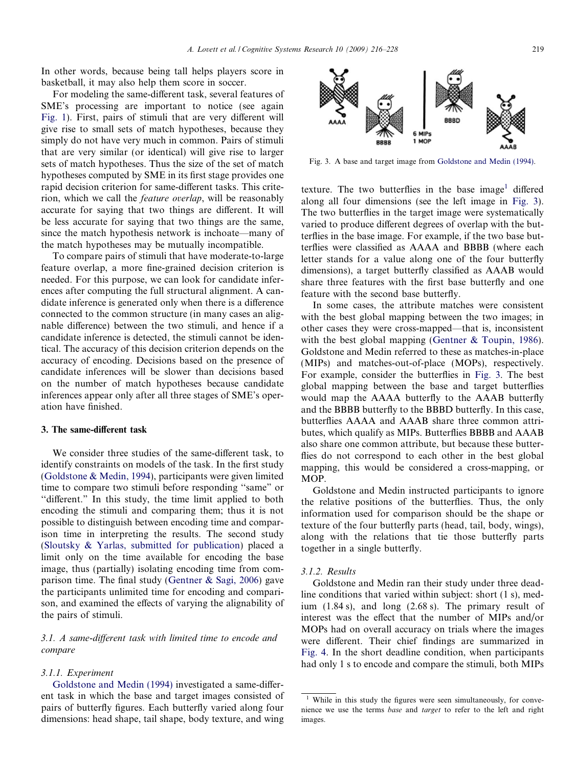In other words, because being tall helps players score in basketball, it may also help them score in soccer.

For modeling the same-different task, several features of SME's processing are important to notice (see again [Fig. 1\)](#page-2-0). First, pairs of stimuli that are very different will give rise to small sets of match hypotheses, because they simply do not have very much in common. Pairs of stimuli that are very similar (or identical) will give rise to larger sets of match hypotheses. Thus the size of the set of match hypotheses computed by SME in its first stage provides one rapid decision criterion for same-different tasks. This criterion, which we call the feature overlap, will be reasonably accurate for saying that two things are different. It will be less accurate for saying that two things are the same, since the match hypothesis network is inchoate—many of the match hypotheses may be mutually incompatible.

To compare pairs of stimuli that have moderate-to-large feature overlap, a more fine-grained decision criterion is needed. For this purpose, we can look for candidate inferences after computing the full structural alignment. A candidate inference is generated only when there is a difference connected to the common structure (in many cases an alignable difference) between the two stimuli, and hence if a candidate inference is detected, the stimuli cannot be identical. The accuracy of this decision criterion depends on the accuracy of encoding. Decisions based on the presence of candidate inferences will be slower than decisions based on the number of match hypotheses because candidate inferences appear only after all three stages of SME's operation have finished.

## 3. The same-different task

We consider three studies of the same-different task, to identify constraints on models of the task. In the first study ([Goldstone & Medin, 1994\)](#page-12-0), participants were given limited time to compare two stimuli before responding ''same" or ''different." In this study, the time limit applied to both encoding the stimuli and comparing them; thus it is not possible to distinguish between encoding time and comparison time in interpreting the results. The second study ([Sloutsky & Yarlas, submitted for publication](#page-12-0)) placed a limit only on the time available for encoding the base image, thus (partially) isolating encoding time from comparison time. The final study (Gentner  $\&$  Sagi, 2006) gave the participants unlimited time for encoding and comparison, and examined the effects of varying the alignability of the pairs of stimuli.

# 3.1. A same-different task with limited time to encode and compare

## 3.1.1. Experiment

[Goldstone and Medin \(1994\)](#page-12-0) investigated a same-different task in which the base and target images consisted of pairs of butterfly figures. Each butterfly varied along four dimensions: head shape, tail shape, body texture, and wing



Fig. 3. A base and target image from [Goldstone and Medin \(1994\)](#page-12-0).

texture. The two butterflies in the base image<sup>1</sup> differed along all four dimensions (see the left image in Fig. 3). The two butterflies in the target image were systematically varied to produce different degrees of overlap with the butterflies in the base image. For example, if the two base butterflies were classified as AAAA and BBBB (where each letter stands for a value along one of the four butterfly dimensions), a target butterfly classified as AAAB would share three features with the first base butterfly and one feature with the second base butterfly.

In some cases, the attribute matches were consistent with the best global mapping between the two images; in other cases they were cross-mapped—that is, inconsistent with the best global mapping ([Gentner & Toupin, 1986\)](#page-12-0). Goldstone and Medin referred to these as matches-in-place (MIPs) and matches-out-of-place (MOPs), respectively. For example, consider the butterflies in Fig. 3. The best global mapping between the base and target butterflies would map the AAAA butterfly to the AAAB butterfly and the BBBB butterfly to the BBBD butterfly. In this case, butterflies AAAA and AAAB share three common attributes, which qualify as MIPs. Butterflies BBBB and AAAB also share one common attribute, but because these butterflies do not correspond to each other in the best global mapping, this would be considered a cross-mapping, or MOP.

Goldstone and Medin instructed participants to ignore the relative positions of the butterflies. Thus, the only information used for comparison should be the shape or texture of the four butterfly parts (head, tail, body, wings), along with the relations that tie those butterfly parts together in a single butterfly.

## 3.1.2. Results

Goldstone and Medin ran their study under three deadline conditions that varied within subject: short (1 s), medium (1.84 s), and long (2.68 s). The primary result of interest was the effect that the number of MIPs and/or MOPs had on overall accuracy on trials where the images were different. Their chief findings are summarized in [Fig. 4](#page-4-0). In the short deadline condition, when participants had only 1 s to encode and compare the stimuli, both MIPs

 $1$  While in this study the figures were seen simultaneously, for convenience we use the terms base and target to refer to the left and right images.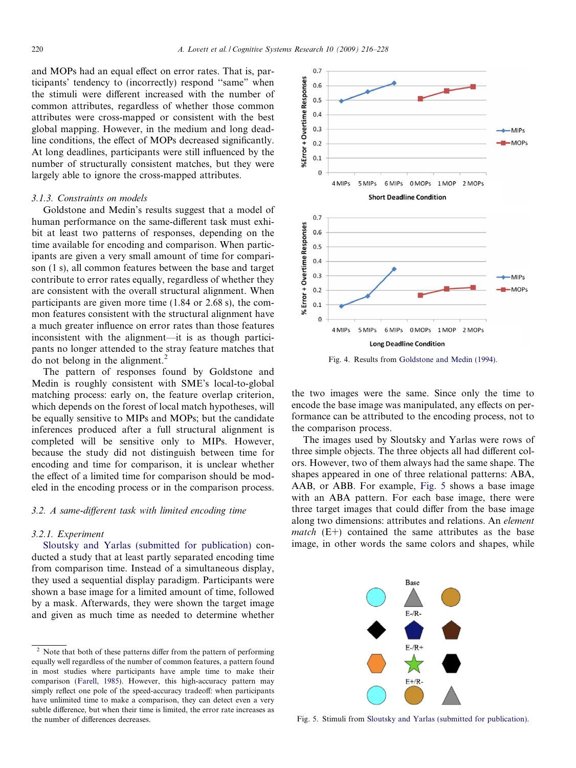<span id="page-4-0"></span>and MOPs had an equal effect on error rates. That is, participants' tendency to (incorrectly) respond ''same" when the stimuli were different increased with the number of common attributes, regardless of whether those common attributes were cross-mapped or consistent with the best global mapping. However, in the medium and long deadline conditions, the effect of MOPs decreased significantly. At long deadlines, participants were still influenced by the number of structurally consistent matches, but they were largely able to ignore the cross-mapped attributes.

## 3.1.3. Constraints on models

Goldstone and Medin's results suggest that a model of human performance on the same-different task must exhibit at least two patterns of responses, depending on the time available for encoding and comparison. When participants are given a very small amount of time for comparison (1 s), all common features between the base and target contribute to error rates equally, regardless of whether they are consistent with the overall structural alignment. When participants are given more time (1.84 or 2.68 s), the common features consistent with the structural alignment have a much greater influence on error rates than those features inconsistent with the alignment—it is as though participants no longer attended to the stray feature matches that do not belong in the alignment.<sup>2</sup>

The pattern of responses found by Goldstone and Medin is roughly consistent with SME's local-to-global matching process: early on, the feature overlap criterion, which depends on the forest of local match hypotheses, will be equally sensitive to MIPs and MOPs; but the candidate inferences produced after a full structural alignment is completed will be sensitive only to MIPs. However, because the study did not distinguish between time for encoding and time for comparison, it is unclear whether the effect of a limited time for comparison should be modeled in the encoding process or in the comparison process.

# 3.2. A same-different task with limited encoding time

#### 3.2.1. Experiment

[Sloutsky and Yarlas \(submitted for publication\)](#page-12-0) conducted a study that at least partly separated encoding time from comparison time. Instead of a simultaneous display, they used a sequential display paradigm. Participants were shown a base image for a limited amount of time, followed by a mask. Afterwards, they were shown the target image and given as much time as needed to determine whether



Fig. 4. Results from [Goldstone and Medin \(1994\).](#page-12-0)

the two images were the same. Since only the time to encode the base image was manipulated, any effects on performance can be attributed to the encoding process, not to the comparison process.

The images used by Sloutsky and Yarlas were rows of three simple objects. The three objects all had different colors. However, two of them always had the same shape. The shapes appeared in one of three relational patterns: ABA, AAB, or ABB. For example, Fig. 5 shows a base image with an ABA pattern. For each base image, there were three target images that could differ from the base image along two dimensions: attributes and relations. An element *match*  $(E+)$  contained the same attributes as the base image, in other words the same colors and shapes, while



<sup>&</sup>lt;sup>2</sup> Note that both of these patterns differ from the pattern of performing equally well regardless of the number of common features, a pattern found in most studies where participants have ample time to make their comparison [\(Farell, 1985](#page-11-0)). However, this high-accuracy pattern may simply reflect one pole of the speed-accuracy tradeoff: when participants have unlimited time to make a comparison, they can detect even a very subtle difference, but when their time is limited, the error rate increases as the number of differences decreases. Fig. 5. Stimuli from [Sloutsky and Yarlas \(submitted for publication\)](#page-12-0).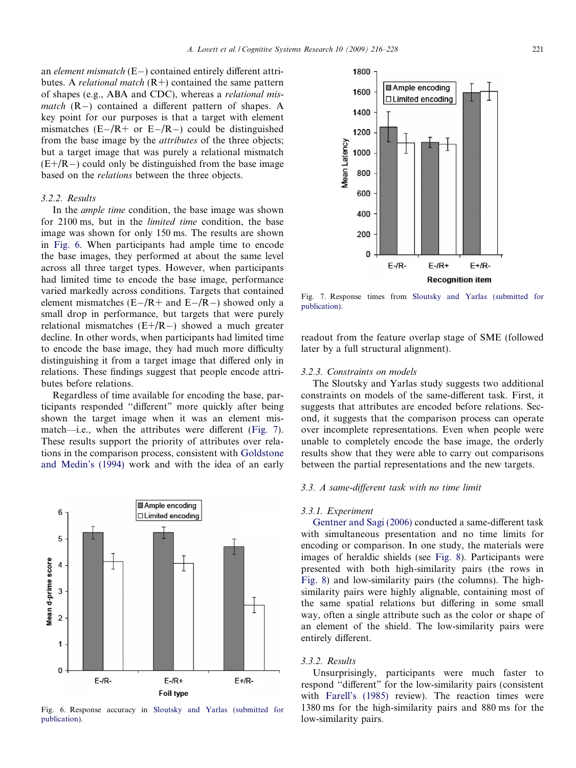<span id="page-5-0"></span>an *element mismatch* (E–) contained entirely different attributes. A *relational match*  $(R+)$  contained the same pattern of shapes (e.g., ABA and CDC), whereas a relational mis*match*  $(R-)$  contained a different pattern of shapes. A key point for our purposes is that a target with element mismatches  $(E - / R + \text{ or } E - / R -)$  could be distinguished from the base image by the attributes of the three objects; but a target image that was purely a relational mismatch  $(E + / R -)$  could only be distinguished from the base image based on the relations between the three objects.

# 3.2.2. Results

In the ample time condition, the base image was shown for 2100 ms, but in the limited time condition, the base image was shown for only 150 ms. The results are shown in Fig. 6. When participants had ample time to encode the base images, they performed at about the same level across all three target types. However, when participants had limited time to encode the base image, performance varied markedly across conditions. Targets that contained element mismatches  $(E - / R +$  and  $E - / R -$ ) showed only a small drop in performance, but targets that were purely relational mismatches  $(E+/R-)$  showed a much greater decline. In other words, when participants had limited time to encode the base image, they had much more difficulty distinguishing it from a target image that differed only in relations. These findings suggest that people encode attributes before relations.

Regardless of time available for encoding the base, participants responded ''different" more quickly after being shown the target image when it was an element mismatch—i.e., when the attributes were different (Fig. 7). These results support the priority of attributes over relations in the comparison process, consistent with [Goldstone](#page-12-0) [and Medin's \(1994\)](#page-12-0) work and with the idea of an early



Fig. 6. Response accuracy in [Sloutsky and Yarlas \(submitted for](#page-12-0) [publication\).](#page-12-0)



Fig. 7. Response times from [Sloutsky and Yarlas \(submitted for](#page-12-0) [publication\).](#page-12-0)

readout from the feature overlap stage of SME (followed later by a full structural alignment).

## 3.2.3. Constraints on models

The Sloutsky and Yarlas study suggests two additional constraints on models of the same-different task. First, it suggests that attributes are encoded before relations. Second, it suggests that the comparison process can operate over incomplete representations. Even when people were unable to completely encode the base image, the orderly results show that they were able to carry out comparisons between the partial representations and the new targets.

# 3.3. A same-different task with no time limit

## 3.3.1. Experiment

[Gentner and Sagi \(2006\)](#page-12-0) conducted a same-different task with simultaneous presentation and no time limits for encoding or comparison. In one study, the materials were images of heraldic shields (see [Fig. 8\)](#page-6-0). Participants were presented with both high-similarity pairs (the rows in [Fig. 8\)](#page-6-0) and low-similarity pairs (the columns). The highsimilarity pairs were highly alignable, containing most of the same spatial relations but differing in some small way, often a single attribute such as the color or shape of an element of the shield. The low-similarity pairs were entirely different.

# 3.3.2. Results

Unsurprisingly, participants were much faster to respond ''different" for the low-similarity pairs (consistent with [Farell's \(1985\)](#page-11-0) review). The reaction times were 1380 ms for the high-similarity pairs and 880 ms for the low-similarity pairs.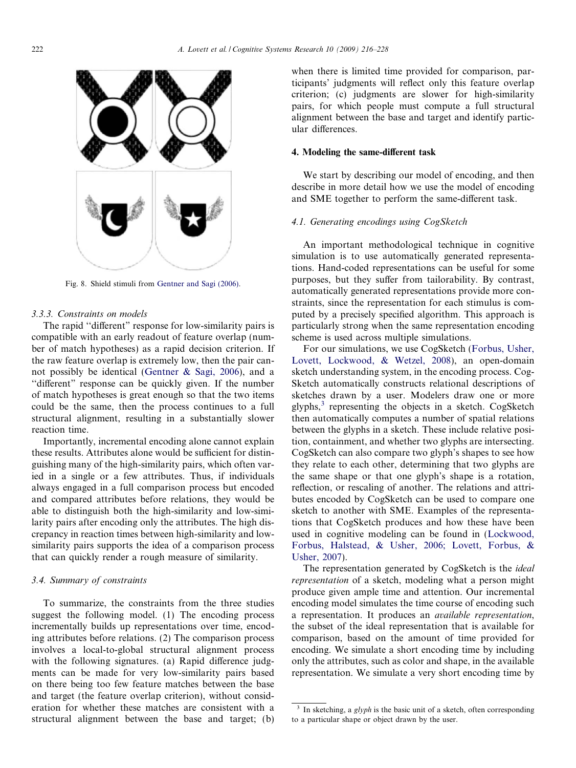<span id="page-6-0"></span>

Fig. 8. Shield stimuli from [Gentner and Sagi \(2006\).](#page-12-0)

#### 3.3.3. Constraints on models

The rapid ''different" response for low-similarity pairs is compatible with an early readout of feature overlap (number of match hypotheses) as a rapid decision criterion. If the raw feature overlap is extremely low, then the pair cannot possibly be identical ([Gentner & Sagi, 2006](#page-12-0)), and a ''different" response can be quickly given. If the number of match hypotheses is great enough so that the two items could be the same, then the process continues to a full structural alignment, resulting in a substantially slower reaction time.

Importantly, incremental encoding alone cannot explain these results. Attributes alone would be sufficient for distinguishing many of the high-similarity pairs, which often varied in a single or a few attributes. Thus, if individuals always engaged in a full comparison process but encoded and compared attributes before relations, they would be able to distinguish both the high-similarity and low-similarity pairs after encoding only the attributes. The high discrepancy in reaction times between high-similarity and lowsimilarity pairs supports the idea of a comparison process that can quickly render a rough measure of similarity.

#### 3.4. Summary of constraints

To summarize, the constraints from the three studies suggest the following model. (1) The encoding process incrementally builds up representations over time, encoding attributes before relations. (2) The comparison process involves a local-to-global structural alignment process with the following signatures. (a) Rapid difference judgments can be made for very low-similarity pairs based on there being too few feature matches between the base and target (the feature overlap criterion), without consideration for whether these matches are consistent with a structural alignment between the base and target; (b) when there is limited time provided for comparison, participants' judgments will reflect only this feature overlap criterion; (c) judgments are slower for high-similarity pairs, for which people must compute a full structural alignment between the base and target and identify particular differences.

# 4. Modeling the same-different task

We start by describing our model of encoding, and then describe in more detail how we use the model of encoding and SME together to perform the same-different task.

# 4.1. Generating encodings using CogSketch

An important methodological technique in cognitive simulation is to use automatically generated representations. Hand-coded representations can be useful for some purposes, but they suffer from tailorability. By contrast, automatically generated representations provide more constraints, since the representation for each stimulus is computed by a precisely specified algorithm. This approach is particularly strong when the same representation encoding scheme is used across multiple simulations.

For our simulations, we use CogSketch ([Forbus, Usher,](#page-11-0) [Lovett, Lockwood, & Wetzel, 2008\)](#page-11-0), an open-domain sketch understanding system, in the encoding process. Cog-Sketch automatically constructs relational descriptions of sketches drawn by a user. Modelers draw one or more glyphs, $3$  representing the objects in a sketch. CogSketch then automatically computes a number of spatial relations between the glyphs in a sketch. These include relative position, containment, and whether two glyphs are intersecting. CogSketch can also compare two glyph's shapes to see how they relate to each other, determining that two glyphs are the same shape or that one glyph's shape is a rotation, reflection, or rescaling of another. The relations and attributes encoded by CogSketch can be used to compare one sketch to another with SME. Examples of the representations that CogSketch produces and how these have been used in cognitive modeling can be found in [\(Lockwood,](#page-12-0) [Forbus, Halstead, & Usher, 2006; Lovett, Forbus, &](#page-12-0) [Usher, 2007](#page-12-0)).

The representation generated by CogSketch is the ideal representation of a sketch, modeling what a person might produce given ample time and attention. Our incremental encoding model simulates the time course of encoding such a representation. It produces an available representation, the subset of the ideal representation that is available for comparison, based on the amount of time provided for encoding. We simulate a short encoding time by including only the attributes, such as color and shape, in the available representation. We simulate a very short encoding time by

 $3$  In sketching, a glyph is the basic unit of a sketch, often corresponding to a particular shape or object drawn by the user.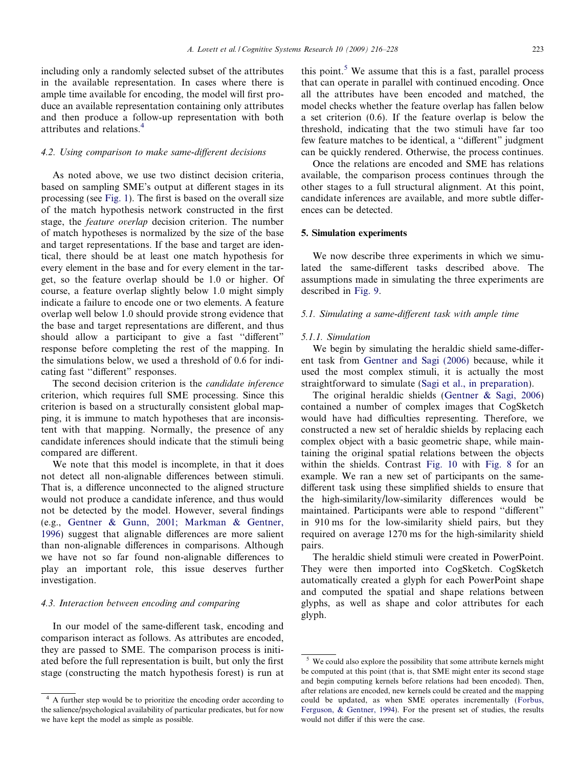including only a randomly selected subset of the attributes in the available representation. In cases where there is ample time available for encoding, the model will first produce an available representation containing only attributes and then produce a follow-up representation with both attributes and relations.<sup>4</sup>

## 4.2. Using comparison to make same-different decisions

As noted above, we use two distinct decision criteria, based on sampling SME's output at different stages in its processing (see [Fig. 1](#page-2-0)). The first is based on the overall size of the match hypothesis network constructed in the first stage, the feature overlap decision criterion. The number of match hypotheses is normalized by the size of the base and target representations. If the base and target are identical, there should be at least one match hypothesis for every element in the base and for every element in the target, so the feature overlap should be 1.0 or higher. Of course, a feature overlap slightly below 1.0 might simply indicate a failure to encode one or two elements. A feature overlap well below 1.0 should provide strong evidence that the base and target representations are different, and thus should allow a participant to give a fast ''different" response before completing the rest of the mapping. In the simulations below, we used a threshold of 0.6 for indicating fast ''different" responses.

The second decision criterion is the *candidate inference* criterion, which requires full SME processing. Since this criterion is based on a structurally consistent global mapping, it is immune to match hypotheses that are inconsistent with that mapping. Normally, the presence of any candidate inferences should indicate that the stimuli being compared are different.

We note that this model is incomplete, in that it does not detect all non-alignable differences between stimuli. That is, a difference unconnected to the aligned structure would not produce a candidate inference, and thus would not be detected by the model. However, several findings (e.g., [Gentner & Gunn, 2001; Markman & Gentner,](#page-11-0) [1996](#page-11-0)) suggest that alignable differences are more salient than non-alignable differences in comparisons. Although we have not so far found non-alignable differences to play an important role, this issue deserves further investigation.

## 4.3. Interaction between encoding and comparing

In our model of the same-different task, encoding and comparison interact as follows. As attributes are encoded, they are passed to SME. The comparison process is initiated before the full representation is built, but only the first stage (constructing the match hypothesis forest) is run at this point.<sup>5</sup> We assume that this is a fast, parallel process that can operate in parallel with continued encoding. Once all the attributes have been encoded and matched, the model checks whether the feature overlap has fallen below a set criterion (0.6). If the feature overlap is below the threshold, indicating that the two stimuli have far too few feature matches to be identical, a ''different" judgment can be quickly rendered. Otherwise, the process continues.

Once the relations are encoded and SME has relations available, the comparison process continues through the other stages to a full structural alignment. At this point, candidate inferences are available, and more subtle differences can be detected.

## 5. Simulation experiments

We now describe three experiments in which we simulated the same-different tasks described above. The assumptions made in simulating the three experiments are described in [Fig. 9.](#page-8-0)

# 5.1. Simulating a same-different task with ample time

# 5.1.1. Simulation

We begin by simulating the heraldic shield same-different task from [Gentner and Sagi \(2006\)](#page-12-0) because, while it used the most complex stimuli, it is actually the most straightforward to simulate [\(Sagi et al., in preparation\)](#page-12-0).

The original heraldic shields ([Gentner & Sagi, 2006](#page-12-0)) contained a number of complex images that CogSketch would have had difficulties representing. Therefore, we constructed a new set of heraldic shields by replacing each complex object with a basic geometric shape, while maintaining the original spatial relations between the objects within the shields. Contrast [Fig. 10](#page-8-0) with [Fig. 8](#page-6-0) for an example. We ran a new set of participants on the samedifferent task using these simplified shields to ensure that the high-similarity/low-similarity differences would be maintained. Participants were able to respond ''different" in 910 ms for the low-similarity shield pairs, but they required on average 1270 ms for the high-similarity shield pairs.

The heraldic shield stimuli were created in PowerPoint. They were then imported into CogSketch. CogSketch automatically created a glyph for each PowerPoint shape and computed the spatial and shape relations between glyphs, as well as shape and color attributes for each glyph.

<sup>&</sup>lt;sup>4</sup> A further step would be to prioritize the encoding order according to the salience/psychological availability of particular predicates, but for now we have kept the model as simple as possible.

<sup>5</sup> We could also explore the possibility that some attribute kernels might be computed at this point (that is, that SME might enter its second stage and begin computing kernels before relations had been encoded). Then, after relations are encoded, new kernels could be created and the mapping could be updated, as when SME operates incrementally [\(Forbus,](#page-11-0) [Ferguson, & Gentner, 1994](#page-11-0)). For the present set of studies, the results would not differ if this were the case.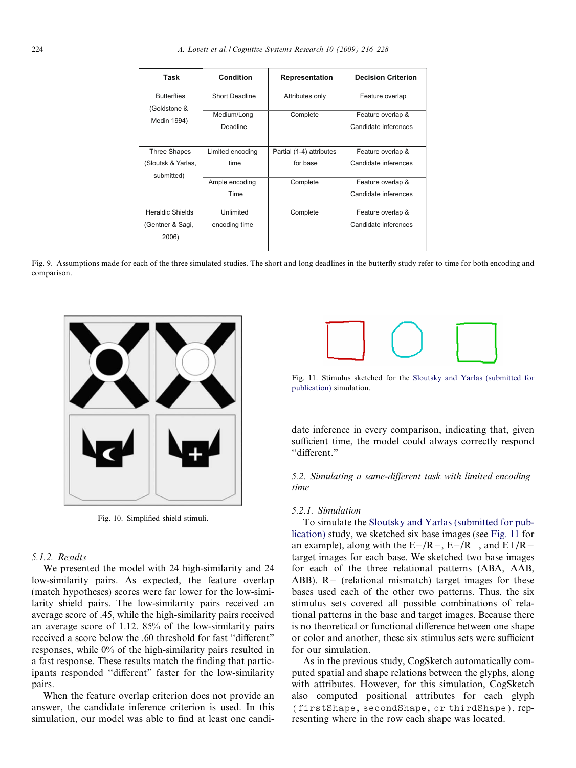<span id="page-8-0"></span>

| Task                        | Condition               | Representation           | <b>Decision Criterion</b>                 |
|-----------------------------|-------------------------|--------------------------|-------------------------------------------|
| <b>Butterflies</b>          | Short Deadline          | Attributes only          | Feature overlap                           |
| (Goldstone &<br>Medin 1994) | Medium/Long<br>Deadline | Complete                 | Feature overlap &<br>Candidate inferences |
| <b>Three Shapes</b>         | Limited encoding        | Partial (1-4) attributes | Feature overlap &                         |
| (Sloutsk & Yarlas,          | time                    | for base                 | Candidate inferences                      |
| submitted)                  | Ample encoding<br>Time  | Complete                 | Feature overlap &<br>Candidate inferences |
| <b>Heraldic Shields</b>     | Unlimited               | Complete                 | Feature overlap &                         |
| (Gentner & Sagi,            | encoding time           |                          | Candidate inferences                      |
| 2006)                       |                         |                          |                                           |

Fig. 9. Assumptions made for each of the three simulated studies. The short and long deadlines in the butterfly study refer to time for both encoding and comparison.



Fig. 10. Simplified shield stimuli.

## 5.1.2. Results

We presented the model with 24 high-similarity and 24 low-similarity pairs. As expected, the feature overlap (match hypotheses) scores were far lower for the low-similarity shield pairs. The low-similarity pairs received an average score of .45, while the high-similarity pairs received an average score of 1.12. 85% of the low-similarity pairs received a score below the .60 threshold for fast ''different" responses, while 0% of the high-similarity pairs resulted in a fast response. These results match the finding that participants responded ''different" faster for the low-similarity pairs.

When the feature overlap criterion does not provide an answer, the candidate inference criterion is used. In this simulation, our model was able to find at least one candi-



Fig. 11. Stimulus sketched for the [Sloutsky and Yarlas \(submitted for](#page-12-0) [publication\)](#page-12-0) simulation.

date inference in every comparison, indicating that, given sufficient time, the model could always correctly respond ''different."

# 5.2. Simulating a same-different task with limited encoding time

## 5.2.1. Simulation

To simulate the [Sloutsky and Yarlas \(submitted for pub](#page-12-0)[lication\)](#page-12-0) study, we sketched six base images (see Fig. 11 for an example), along with the  $E - /R -$ ,  $E - /R +$ , and  $E + /R$ target images for each base. We sketched two base images for each of the three relational patterns (ABA, AAB, ABB). R- (relational mismatch) target images for these bases used each of the other two patterns. Thus, the six stimulus sets covered all possible combinations of relational patterns in the base and target images. Because there is no theoretical or functional difference between one shape or color and another, these six stimulus sets were sufficient for our simulation.

As in the previous study, CogSketch automatically computed spatial and shape relations between the glyphs, along with attributes. However, for this simulation, CogSketch also computed positional attributes for each glyph (firstShape, secondShape, or thirdShape), representing where in the row each shape was located.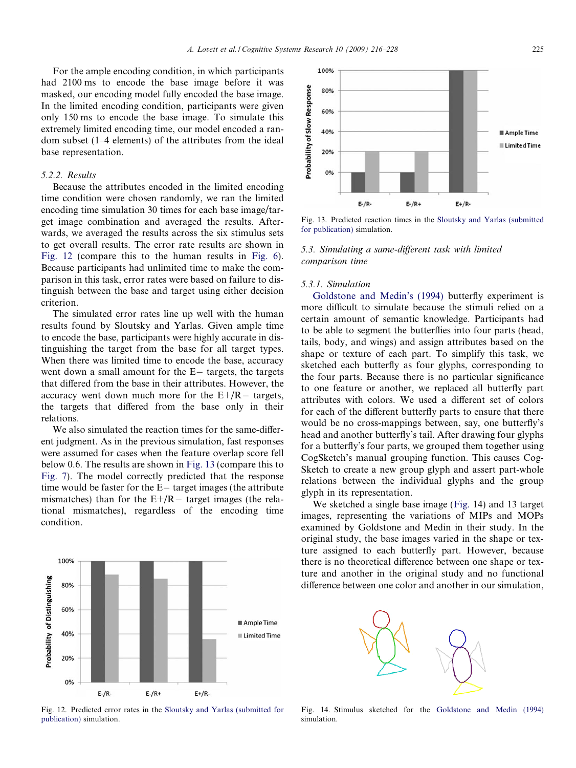For the ample encoding condition, in which participants had 2100 ms to encode the base image before it was masked, our encoding model fully encoded the base image. In the limited encoding condition, participants were given only 150 ms to encode the base image. To simulate this extremely limited encoding time, our model encoded a random subset (1–4 elements) of the attributes from the ideal base representation.

# 5.2.2. Results

Because the attributes encoded in the limited encoding time condition were chosen randomly, we ran the limited encoding time simulation 30 times for each base image/target image combination and averaged the results. Afterwards, we averaged the results across the six stimulus sets to get overall results. The error rate results are shown in Fig. 12 (compare this to the human results in [Fig. 6\)](#page-5-0). Because participants had unlimited time to make the comparison in this task, error rates were based on failure to distinguish between the base and target using either decision criterion.

The simulated error rates line up well with the human results found by Sloutsky and Yarlas. Given ample time to encode the base, participants were highly accurate in distinguishing the target from the base for all target types. When there was limited time to encode the base, accuracy went down a small amount for the E– targets, the targets that differed from the base in their attributes. However, the accuracy went down much more for the  $E+ / R -$  targets, the targets that differed from the base only in their relations.

We also simulated the reaction times for the same-different judgment. As in the previous simulation, fast responses were assumed for cases when the feature overlap score fell below 0.6. The results are shown in Fig. 13 (compare this to [Fig. 7](#page-5-0)). The model correctly predicted that the response time would be faster for the E- target images (the attribute mismatches) than for the  $E+/\mathbf{R}$  - target images (the relational mismatches), regardless of the encoding time condition.



Fig. 12. Predicted error rates in the [Sloutsky and Yarlas \(submitted for](#page-12-0) [publication\)](#page-12-0) simulation.



Fig. 13. Predicted reaction times in the [Sloutsky and Yarlas \(submitted](#page-12-0) [for publication\)](#page-12-0) simulation.

# 5.3. Simulating a same-different task with limited comparison time

#### 5.3.1. Simulation

[Goldstone and Medin's \(1994\)](#page-12-0) butterfly experiment is more difficult to simulate because the stimuli relied on a certain amount of semantic knowledge. Participants had to be able to segment the butterflies into four parts (head, tails, body, and wings) and assign attributes based on the shape or texture of each part. To simplify this task, we sketched each butterfly as four glyphs, corresponding to the four parts. Because there is no particular significance to one feature or another, we replaced all butterfly part attributes with colors. We used a different set of colors for each of the different butterfly parts to ensure that there would be no cross-mappings between, say, one butterfly's head and another butterfly's tail. After drawing four glyphs for a butterfly's four parts, we grouped them together using CogSketch's manual grouping function. This causes Cog-Sketch to create a new group glyph and assert part-whole relations between the individual glyphs and the group glyph in its representation.

We sketched a single base image (Fig. 14) and 13 target images, representing the variations of MIPs and MOPs examined by Goldstone and Medin in their study. In the original study, the base images varied in the shape or texture assigned to each butterfly part. However, because there is no theoretical difference between one shape or texture and another in the original study and no functional difference between one color and another in our simulation,



Fig. 14. Stimulus sketched for the [Goldstone and Medin \(1994\)](#page-12-0) simulation.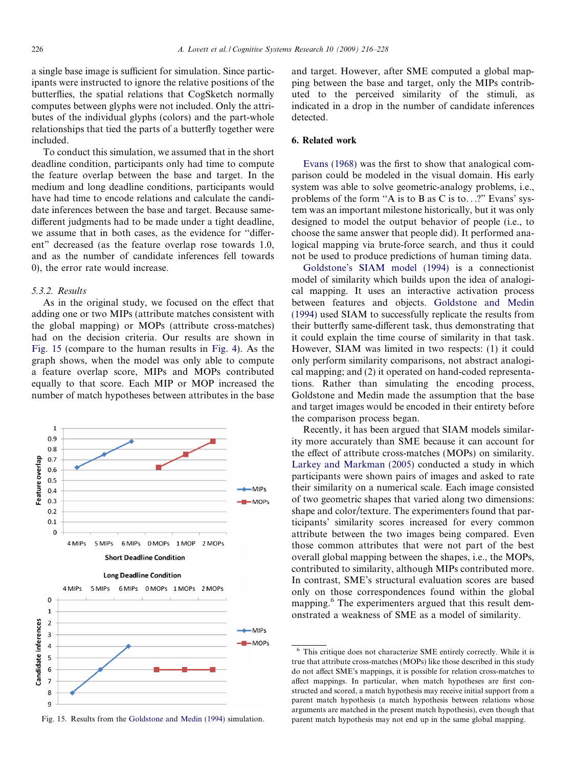a single base image is sufficient for simulation. Since participants were instructed to ignore the relative positions of the butterflies, the spatial relations that CogSketch normally computes between glyphs were not included. Only the attributes of the individual glyphs (colors) and the part-whole relationships that tied the parts of a butterfly together were included.

To conduct this simulation, we assumed that in the short deadline condition, participants only had time to compute the feature overlap between the base and target. In the medium and long deadline conditions, participants would have had time to encode relations and calculate the candidate inferences between the base and target. Because samedifferent judgments had to be made under a tight deadline, we assume that in both cases, as the evidence for ''different" decreased (as the feature overlap rose towards 1.0, and as the number of candidate inferences fell towards 0), the error rate would increase.

## 5.3.2. Results

As in the original study, we focused on the effect that adding one or two MIPs (attribute matches consistent with the global mapping) or MOPs (attribute cross-matches) had on the decision criteria. Our results are shown in Fig. 15 (compare to the human results in [Fig. 4](#page-4-0)). As the graph shows, when the model was only able to compute a feature overlap score, MIPs and MOPs contributed equally to that score. Each MIP or MOP increased the number of match hypotheses between attributes in the base



Fig. 15. Results from the [Goldstone and Medin \(1994\)](#page-12-0) simulation.

and target. However, after SME computed a global mapping between the base and target, only the MIPs contributed to the perceived similarity of the stimuli, as indicated in a drop in the number of candidate inferences detected.

## 6. Related work

[Evans \(1968\)](#page-11-0) was the first to show that analogical comparison could be modeled in the visual domain. His early system was able to solve geometric-analogy problems, i.e., problems of the form ''A is to B as C is to...?" Evans' system was an important milestone historically, but it was only designed to model the output behavior of people (i.e., to choose the same answer that people did). It performed analogical mapping via brute-force search, and thus it could not be used to produce predictions of human timing data.

[Goldstone's SIAM model \(1994\)](#page-12-0) is a connectionist model of similarity which builds upon the idea of analogical mapping. It uses an interactive activation process between features and objects. [Goldstone and Medin](#page-12-0) [\(1994\)](#page-12-0) used SIAM to successfully replicate the results from their butterfly same-different task, thus demonstrating that it could explain the time course of similarity in that task. However, SIAM was limited in two respects: (1) it could only perform similarity comparisons, not abstract analogical mapping; and (2) it operated on hand-coded representations. Rather than simulating the encoding process, Goldstone and Medin made the assumption that the base and target images would be encoded in their entirety before the comparison process began.

Recently, it has been argued that SIAM models similarity more accurately than SME because it can account for the effect of attribute cross-matches (MOPs) on similarity. [Larkey and Markman \(2005\)](#page-12-0) conducted a study in which participants were shown pairs of images and asked to rate their similarity on a numerical scale. Each image consisted of two geometric shapes that varied along two dimensions: shape and color/texture. The experimenters found that participants' similarity scores increased for every common attribute between the two images being compared. Even those common attributes that were not part of the best overall global mapping between the shapes, i.e., the MOPs, contributed to similarity, although MIPs contributed more. In contrast, SME's structural evaluation scores are based only on those correspondences found within the global mapping.<sup>6</sup> The experimenters argued that this result demonstrated a weakness of SME as a model of similarity.

 $6$  This critique does not characterize SME entirely correctly. While it is true that attribute cross-matches (MOPs) like those described in this study do not affect SME's mappings, it is possible for relation cross-matches to affect mappings. In particular, when match hypotheses are first constructed and scored, a match hypothesis may receive initial support from a parent match hypothesis (a match hypothesis between relations whose arguments are matched in the present match hypothesis), even though that parent match hypothesis may not end up in the same global mapping.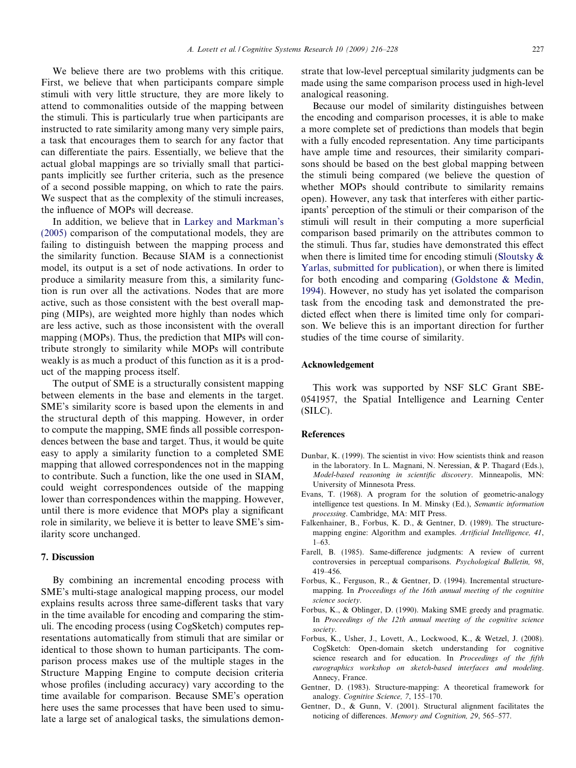<span id="page-11-0"></span>We believe there are two problems with this critique. First, we believe that when participants compare simple stimuli with very little structure, they are more likely to attend to commonalities outside of the mapping between the stimuli. This is particularly true when participants are instructed to rate similarity among many very simple pairs, a task that encourages them to search for any factor that can differentiate the pairs. Essentially, we believe that the actual global mappings are so trivially small that participants implicitly see further criteria, such as the presence of a second possible mapping, on which to rate the pairs. We suspect that as the complexity of the stimuli increases, the influence of MOPs will decrease.

In addition, we believe that in [Larkey and Markman's](#page-12-0) [\(2005\)](#page-12-0) comparison of the computational models, they are failing to distinguish between the mapping process and the similarity function. Because SIAM is a connectionist model, its output is a set of node activations. In order to produce a similarity measure from this, a similarity function is run over all the activations. Nodes that are more active, such as those consistent with the best overall mapping (MIPs), are weighted more highly than nodes which are less active, such as those inconsistent with the overall mapping (MOPs). Thus, the prediction that MIPs will contribute strongly to similarity while MOPs will contribute weakly is as much a product of this function as it is a product of the mapping process itself.

The output of SME is a structurally consistent mapping between elements in the base and elements in the target. SME's similarity score is based upon the elements in and the structural depth of this mapping. However, in order to compute the mapping, SME finds all possible correspondences between the base and target. Thus, it would be quite easy to apply a similarity function to a completed SME mapping that allowed correspondences not in the mapping to contribute. Such a function, like the one used in SIAM, could weight correspondences outside of the mapping lower than correspondences within the mapping. However, until there is more evidence that MOPs play a significant role in similarity, we believe it is better to leave SME's similarity score unchanged.

# 7. Discussion

By combining an incremental encoding process with SME's multi-stage analogical mapping process, our model explains results across three same-different tasks that vary in the time available for encoding and comparing the stimuli. The encoding process (using CogSketch) computes representations automatically from stimuli that are similar or identical to those shown to human participants. The comparison process makes use of the multiple stages in the Structure Mapping Engine to compute decision criteria whose profiles (including accuracy) vary according to the time available for comparison. Because SME's operation here uses the same processes that have been used to simulate a large set of analogical tasks, the simulations demonstrate that low-level perceptual similarity judgments can be made using the same comparison process used in high-level analogical reasoning.

Because our model of similarity distinguishes between the encoding and comparison processes, it is able to make a more complete set of predictions than models that begin with a fully encoded representation. Any time participants have ample time and resources, their similarity comparisons should be based on the best global mapping between the stimuli being compared (we believe the question of whether MOPs should contribute to similarity remains open). However, any task that interferes with either participants' perception of the stimuli or their comparison of the stimuli will result in their computing a more superficial comparison based primarily on the attributes common to the stimuli. Thus far, studies have demonstrated this effect when there is limited time for encoding stimuli [\(Sloutsky &](#page-12-0) [Yarlas, submitted for publication\)](#page-12-0), or when there is limited for both encoding and comparing [\(Goldstone & Medin,](#page-12-0) [1994](#page-12-0)). However, no study has yet isolated the comparison task from the encoding task and demonstrated the predicted effect when there is limited time only for comparison. We believe this is an important direction for further studies of the time course of similarity.

# Acknowledgement

This work was supported by NSF SLC Grant SBE-0541957, the Spatial Intelligence and Learning Center (SILC).

#### References

- Dunbar, K. (1999). The scientist in vivo: How scientists think and reason in the laboratory. In L. Magnani, N. Neressian, & P. Thagard (Eds.), Model-based reasoning in scientific discovery. Minneapolis, MN: University of Minnesota Press.
- Evans, T. (1968). A program for the solution of geometric-analogy intelligence test questions. In M. Minsky (Ed.), Semantic information processing. Cambridge, MA: MIT Press.
- Falkenhainer, B., Forbus, K. D., & Gentner, D. (1989). The structuremapping engine: Algorithm and examples. Artificial Intelligence, 41, 1–63.
- Farell, B. (1985). Same-difference judgments: A review of current controversies in perceptual comparisons. Psychological Bulletin, 98, 419–456.
- Forbus, K., Ferguson, R., & Gentner, D. (1994). Incremental structuremapping. In Proceedings of the 16th annual meeting of the cognitive science society.
- Forbus, K., & Oblinger, D. (1990). Making SME greedy and pragmatic. In Proceedings of the 12th annual meeting of the cognitive science society.
- Forbus, K., Usher, J., Lovett, A., Lockwood, K., & Wetzel, J. (2008). CogSketch: Open-domain sketch understanding for cognitive science research and for education. In Proceedings of the fifth eurographics workshop on sketch-based interfaces and modeling. Annecy, France.
- Gentner, D. (1983). Structure-mapping: A theoretical framework for analogy. Cognitive Science, 7, 155–170.
- Gentner, D., & Gunn, V. (2001). Structural alignment facilitates the noticing of differences. Memory and Cognition, 29, 565–577.